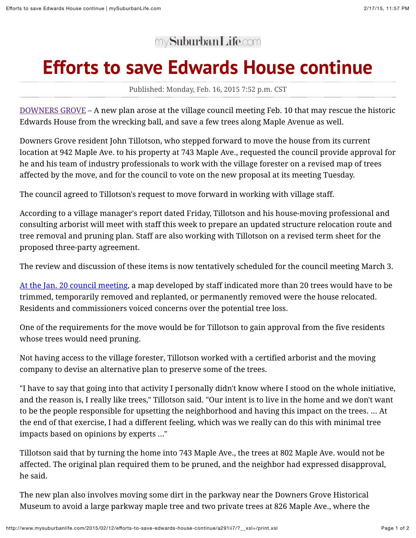## my**SuburbanLife.com**

## **Efforts to save Edwards House continue**

Published: Monday, Feb. 16, 2015 7:52 p.m. CST

[DOWNERS GROVE](http://www.mysuburbanlife.com/downersgrove/) – A new plan arose at the village council meeting Feb. 10 that may rescue the historic Edwards House from the wrecking ball, and save a few trees along Maple Avenue as well.

Downers Grove resident John Tillotson, who stepped forward to move the house from its current location at 942 Maple Ave. to his property at 743 Maple Ave., requested the council provide approval for he and his team of industry professionals to work with the village forester on a revised map of trees affected by the move, and for the council to vote on the new proposal at its meeting Tuesday.

The council agreed to Tillotson's request to move forward in working with village staff.

According to a village manager's report dated Friday, Tillotson and his house-moving professional and consulting arborist will meet with staff this week to prepare an updated structure relocation route and tree removal and pruning plan. Staff are also working with Tillotson on a revised term sheet for the proposed three-party agreement.

The review and discussion of these items is now tentatively scheduled for the council meeting March 3.

[At the Jan. 20 council meeting](http://www.mysuburbanlife.com/2015/01/28/relocation-of-edwards-house-would-require-severe-trimming-removal-of-maple-avenue-trees/a6jo4wu/), a map developed by staff indicated more than 20 trees would have to be trimmed, temporarily removed and replanted, or permanently removed were the house relocated. Residents and commissioners voiced concerns over the potential tree loss.

One of the requirements for the move would be for Tillotson to gain approval from the five residents whose trees would need pruning.

Not having access to the village forester, Tillotson worked with a certified arborist and the moving company to devise an alternative plan to preserve some of the trees.

"I have to say that going into that activity I personally didn't know where I stood on the whole initiative, and the reason is, I really like trees," Tillotson said. "Our intent is to live in the home and we don't want to be the people responsible for upsetting the neighborhood and having this impact on the trees. ... At the end of that exercise, I had a different feeling, which was we really can do this with minimal tree impacts based on opinions by experts ..."

Tillotson said that by turning the home into 743 Maple Ave., the trees at 802 Maple Ave. would not be affected. The original plan required them to be pruned, and the neighbor had expressed disapproval, he said.

The new plan also involves moving some dirt in the parkway near the Downers Grove Historical Museum to avoid a large parkway maple tree and two private trees at 826 Maple Ave., where the